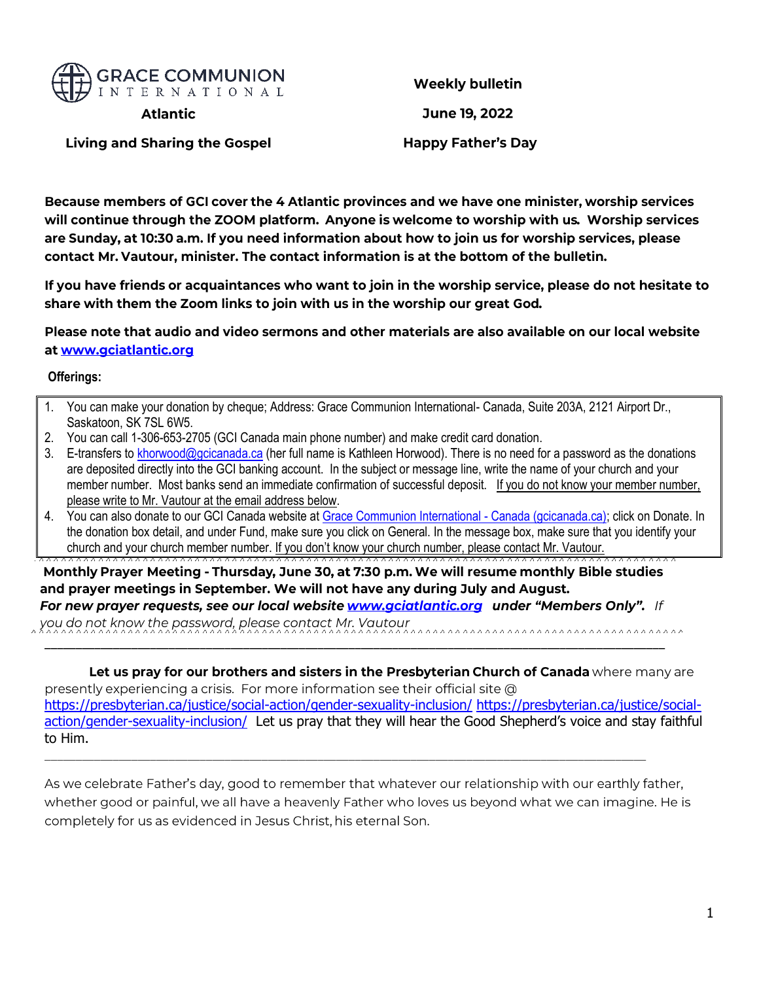

**Weekly bulletin** 

**Atlantic** 

June 19, 2022

**Living and Sharing the Gospel** 

**Happy Father's Day** 

Because members of GCI cover the 4 Atlantic provinces and we have one minister, worship services will continue through the ZOOM platform. Anyone is welcome to worship with us. Worship services are Sunday, at 10:30 a.m. If you need information about how to join us for worship services, please contact Mr. Vautour, minister. The contact information is at the bottom of the bulletin.

If you have friends or acquaintances who want to join in the worship service, please do not hesitate to share with them the Zoom links to join with us in the worship our great God.

Please note that audio and video sermons and other materials are also available on our local website at www.gciatlantic.org

#### **Offerings:**

- 1. You can make your donation by cheque; Address: Grace Communion International- Canada, Suite 203A, 2121 Airport Dr., Saskatoon, SK 7SL 6W5.
- 2. You can call 1-306-653-2705 (GCI Canada main phone number) and make credit card donation.
- 3. E-transfers t[o khorwood@gcicanada.ca](mailto:khorwood@gcicanada.ca) (her full name is Kathleen Horwood). There is no need for a password as the donations are deposited directly into the GCI banking account. In the subject or message line, write the name of your church and your member number. Most banks send an immediate confirmation of successful deposit. If you do not know your member number, please write to Mr. Vautour at the email address below.
- 4. You can also donate to our GCI Canada website at [Grace Communion International -](https://www.gcicanada.ca/home.html) Canada (gcicanada.ca); click on Donate. In the donation box detail, and under Fund, make sure you click on General. In the message box, make sure that you identify your church and your church member number. If you don't know your church number, please contact Mr. Vautour.

Monthly Prayer Meeting - Thursday, June 30, at 7:30 p.m. We will resume monthly Bible studies and prayer meetings in September. We will not have any during July and August. For new prayer requests, see our local website www.gciatlantic.org under "Members Only". If

you do not know the password, please contact Mr. Vautour

Let us pray for our brothers and sisters in the Presbyterian Church of Canada where many are presently experiencing a crisis. For more information see their official site  $@$ <https://presbyterian.ca/justice/social-action/gender-sexuality-inclusion/> [https://presbyterian.ca/justice/social](https://presbyterian.ca/justice/social-action/gender-sexuality-inclusion/)[action/gender-sexuality-inclusion/](https://presbyterian.ca/justice/social-action/gender-sexuality-inclusion/) Let us pray that they will hear the Good Shepherd's voice and stay faithful to Him.

As we celebrate Father's day, good to remember that whatever our relationship with our earthly father, whether good or painful, we all have a heavenly Father who loves us beyond what we can imagine. He is completely for us as evidenced in Jesus Christ, his eternal Son.

,,,,,,,,,,,,,,,,,,,,,,,,,,,,,,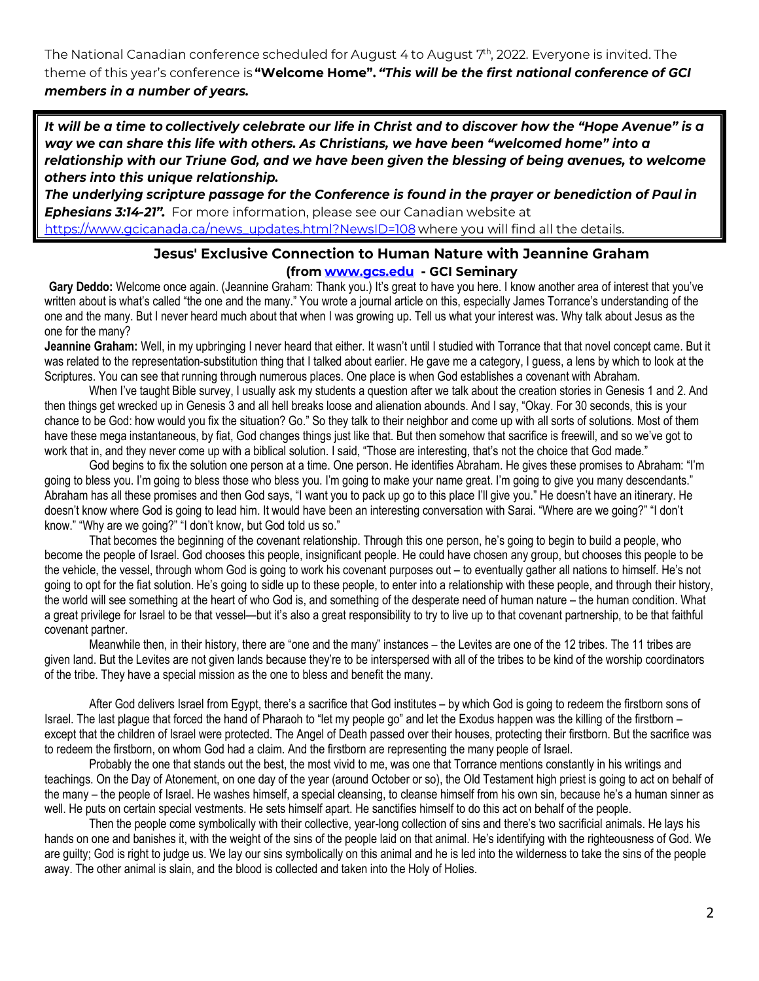The National Canadian conference scheduled for August 4 to August 7<sup>th</sup>, 2022. Everyone is invited. The theme of this year's conference is "Welcome Home". "This will be the first national conference of GCI members in a number of years.

It will be a time to collectively celebrate our life in Christ and to discover how the "Hope Avenue" is a way we can share this life with others. As Christians, we have been "welcomed home" into a relationship with our Triune God, and we have been given the blessing of being avenues, to welcome others into this unique relationship.

The underlying scripture passage for the Conference is found in the prayer or benediction of Paul in Ephesians 3:14-21". For more information, please see our Canadian website at https://www.gcicanada.ca/news\_updates.html?NewsID=108 where you will find all the details.

### Jesus' Exclusive Connection to Human Nature with Jeannine Graham (from www.gcs.edu GCI Seminary

Gary Deddo: Welcome once again. (Jeannine Graham: Thank you.) It's great to have you here. I know another area of interest that you've written about is what's called "the one and the many." You wrote a journal article on this, especially James Torrance's understanding of the one and the many. But I never heard much about that when I was growing up. Tell us what your interest was. Why talk about Jesus as the one for the many?

**Jeannine Graham:** Well, in my upbringing I never heard that either. It wasn't until I studied with Torrance that that novel concept came. But it was related to the representation-substitution thing that I talked about earlier. He gave me a category, I guess, a lens by which to look at the Scriptures. You can see that running through numerous places. One place is when God establishes a covenant with Abraham.

When I've taught Bible survey, I usually ask my students a question after we talk about the creation stories in Genesis 1 and 2. And then things get wrecked up in Genesis 3 and all hell breaks loose and alienation abounds. And I say, "Okay. For 30 seconds, this is your chance to be God: how would you fix the situation? Go." So they talk to their neighbor and come up with all sorts of solutions. Most of them have these mega instantaneous, by fiat, God changes things just like that. But then somehow that sacrifice is freewill, and so we've got to work that in, and they never come up with a biblical solution. I said, "Those are interesting, that's not the choice that God made."

God begins to fix the solution one person at a time. One person. He identifies Abraham. He gives these promises to Abraham: "I'm going to bless you. I'm going to bless those who bless you. I'm going to make your name great. I'm going to give you many descendants." Abraham has all these promises and then God says, "I want you to pack up go to this place I'll give you." He doesn't have an itinerary. He doesn't know where God is going to lead him. It would have been an interesting conversation with Sarai. "Where are we going?" "I don't know." "Why are we going?" "I don't know, but God told us so."

That becomes the beginning of the covenant relationship. Through this one person, he's going to begin to build a people, who become the people of Israel. God chooses this people, insignificant people. He could have chosen any group, but chooses this people to be the vehicle, the vessel, through whom God is going to work his covenant purposes out – to eventually gather all nations to himself. He's not going to opt for the fiat solution. He's going to sidle up to these people, to enter into a relationship with these people, and through their history, the world will see something at the heart of who God is, and something of the desperate need of human nature – the human condition. What a great privilege for Israel to be that vessel—but it's also a great responsibility to try to live up to that covenant partnership, to be that faithful covenant partner.

Meanwhile then, in their history, there are "one and the many" instances – the Levites are one of the 12 tribes. The 11 tribes are given land. But the Levites are not given lands because they're to be interspersed with all of the tribes to be kind of the worship coordinators of the tribe. They have a special mission as the one to bless and benefit the many.

After God delivers Israel from Egypt, there's a sacrifice that God institutes – by which God is going to redeem the firstborn sons of Israel. The last plague that forced the hand of Pharaoh to "let my people go" and let the Exodus happen was the killing of the firstborn – except that the children of Israel were protected. The Angel of Death passed over their houses, protecting their firstborn. But the sacrifice was to redeem the firstborn, on whom God had a claim. And the firstborn are representing the many people of Israel.

Probably the one that stands out the best, the most vivid to me, was one that Torrance mentions constantly in his writings and teachings. On the Day of Atonement, on one day of the year (around October or so), the Old Testament high priest is going to act on behalf of the many – the people of Israel. He washes himself, a special cleansing, to cleanse himself from his own sin, because he's a human sinner as well. He puts on certain special vestments. He sets himself apart. He sanctifies himself to do this act on behalf of the people.

Then the people come symbolically with their collective, year-long collection of sins and there's two sacrificial animals. He lays his hands on one and banishes it, with the weight of the sins of the people laid on that animal. He's identifying with the righteousness of God. We are guilty; God is right to judge us. We lay our sins symbolically on this animal and he is led into the wilderness to take the sins of the people away. The other animal is slain, and the blood is collected and taken into the Holy of Holies.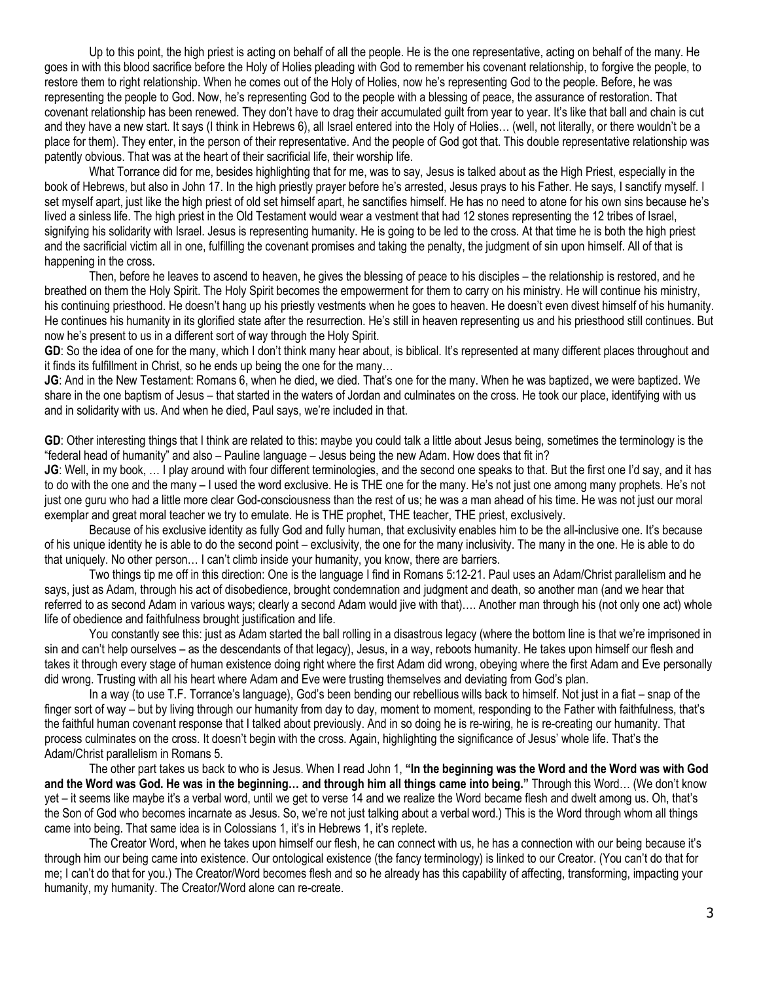Up to this point, the high priest is acting on behalf of all the people. He is the one representative, acting on behalf of the many. He goes in with this blood sacrifice before the Holy of Holies pleading with God to remember his covenant relationship, to forgive the people, to restore them to right relationship. When he comes out of the Holy of Holies, now he's representing God to the people. Before, he was representing the people to God. Now, he's representing God to the people with a blessing of peace, the assurance of restoration. That covenant relationship has been renewed. They don't have to drag their accumulated guilt from year to year. It's like that ball and chain is cut and they have a new start. It says (I think in Hebrews 6), all Israel entered into the Holy of Holies… (well, not literally, or there wouldn't be a place for them). They enter, in the person of their representative. And the people of God got that. This double representative relationship was patently obvious. That was at the heart of their sacrificial life, their worship life.

What Torrance did for me, besides highlighting that for me, was to say, Jesus is talked about as the High Priest, especially in the book of Hebrews, but also in John 17. In the high priestly prayer before he's arrested, Jesus prays to his Father. He says, I sanctify myself. I set myself apart, just like the high priest of old set himself apart, he sanctifies himself. He has no need to atone for his own sins because he's lived a sinless life. The high priest in the Old Testament would wear a vestment that had 12 stones representing the 12 tribes of Israel, signifying his solidarity with Israel. Jesus is representing humanity. He is going to be led to the cross. At that time he is both the high priest and the sacrificial victim all in one, fulfilling the covenant promises and taking the penalty, the judgment of sin upon himself. All of that is happening in the cross.

Then, before he leaves to ascend to heaven, he gives the blessing of peace to his disciples – the relationship is restored, and he breathed on them the Holy Spirit. The Holy Spirit becomes the empowerment for them to carry on his ministry. He will continue his ministry, his continuing priesthood. He doesn't hang up his priestly vestments when he goes to heaven. He doesn't even divest himself of his humanity. He continues his humanity in its glorified state after the resurrection. He's still in heaven representing us and his priesthood still continues. But now he's present to us in a different sort of way through the Holy Spirit.

**GD**: So the idea of one for the many, which I don't think many hear about, is biblical. It's represented at many different places throughout and it finds its fulfillment in Christ, so he ends up being the one for the many…

**JG**: And in the New Testament: Romans 6, when he died, we died. That's one for the many. When he was baptized, we were baptized. We share in the one baptism of Jesus – that started in the waters of Jordan and culminates on the cross. He took our place, identifying with us and in solidarity with us. And when he died, Paul says, we're included in that.

**GD**: Other interesting things that I think are related to this: maybe you could talk a little about Jesus being, sometimes the terminology is the "federal head of humanity" and also – Pauline language – Jesus being the new Adam. How does that fit in?

**JG**: Well, in my book, … I play around with four different terminologies, and the second one speaks to that. But the first one I'd say, and it has to do with the one and the many – I used the word exclusive. He is THE one for the many. He's not just one among many prophets. He's not just one guru who had a little more clear God-consciousness than the rest of us; he was a man ahead of his time. He was not just our moral exemplar and great moral teacher we try to emulate. He is THE prophet, THE teacher, THE priest, exclusively.

Because of his exclusive identity as fully God and fully human, that exclusivity enables him to be the all-inclusive one. It's because of his unique identity he is able to do the second point – exclusivity, the one for the many inclusivity. The many in the one. He is able to do that uniquely. No other person… I can't climb inside your humanity, you know, there are barriers.

Two things tip me off in this direction: One is the language I find in Romans 5:12-21. Paul uses an Adam/Christ parallelism and he says, just as Adam, through his act of disobedience, brought condemnation and judgment and death, so another man (and we hear that referred to as second Adam in various ways; clearly a second Adam would jive with that)…. Another man through his (not only one act) whole life of obedience and faithfulness brought justification and life.

You constantly see this: just as Adam started the ball rolling in a disastrous legacy (where the bottom line is that we're imprisoned in sin and can't help ourselves – as the descendants of that legacy), Jesus, in a way, reboots humanity. He takes upon himself our flesh and takes it through every stage of human existence doing right where the first Adam did wrong, obeying where the first Adam and Eve personally did wrong. Trusting with all his heart where Adam and Eve were trusting themselves and deviating from God's plan.

In a way (to use T.F. Torrance's language), God's been bending our rebellious wills back to himself. Not just in a fiat – snap of the finger sort of way – but by living through our humanity from day to day, moment to moment, responding to the Father with faithfulness, that's the faithful human covenant response that I talked about previously. And in so doing he is re-wiring, he is re-creating our humanity. That process culminates on the cross. It doesn't begin with the cross. Again, highlighting the significance of Jesus' whole life. That's the Adam/Christ parallelism in Romans 5.

The other part takes us back to who is Jesus. When I read John 1, **"In the beginning was the Word and the Word was with God and the Word was God. He was in the beginning… and through him all things came into being."** Through this Word… (We don't know yet – it seems like maybe it's a verbal word, until we get to verse 14 and we realize the Word became flesh and dwelt among us. Oh, that's the Son of God who becomes incarnate as Jesus. So, we're not just talking about a verbal word.) This is the Word through whom all things came into being. That same idea is in Colossians 1, it's in Hebrews 1, it's replete.

The Creator Word, when he takes upon himself our flesh, he can connect with us, he has a connection with our being because it's through him our being came into existence. Our ontological existence (the fancy terminology) is linked to our Creator. (You can't do that for me; I can't do that for you.) The Creator/Word becomes flesh and so he already has this capability of affecting, transforming, impacting your humanity, my humanity. The Creator/Word alone can re-create.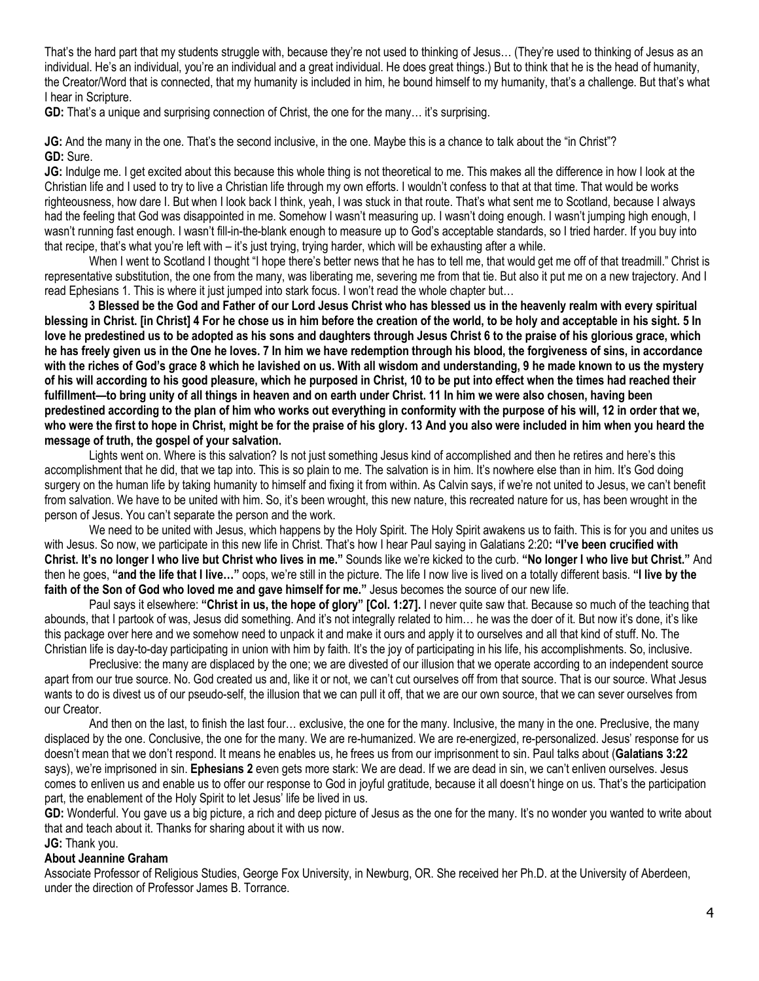That's the hard part that my students struggle with, because they're not used to thinking of Jesus… (They're used to thinking of Jesus as an individual. He's an individual, you're an individual and a great individual. He does great things.) But to think that he is the head of humanity, the Creator/Word that is connected, that my humanity is included in him, he bound himself to my humanity, that's a challenge. But that's what I hear in Scripture.

**GD:** That's a unique and surprising connection of Christ, the one for the many… it's surprising.

**JG:** And the many in the one. That's the second inclusive, in the one. Maybe this is a chance to talk about the "in Christ"? **GD:** Sure.

**JG:** Indulge me. I get excited about this because this whole thing is not theoretical to me. This makes all the difference in how I look at the Christian life and I used to try to live a Christian life through my own efforts. I wouldn't confess to that at that time. That would be works righteousness, how dare I. But when I look back I think, yeah, I was stuck in that route. That's what sent me to Scotland, because I always had the feeling that God was disappointed in me. Somehow I wasn't measuring up. I wasn't doing enough. I wasn't jumping high enough, I wasn't running fast enough. I wasn't fill-in-the-blank enough to measure up to God's acceptable standards, so I tried harder. If you buy into that recipe, that's what you're left with – it's just trying, trying harder, which will be exhausting after a while.

When I went to Scotland I thought "I hope there's better news that he has to tell me, that would get me off of that treadmill." Christ is representative substitution, the one from the many, was liberating me, severing me from that tie. But also it put me on a new trajectory. And I read Ephesians 1. This is where it just jumped into stark focus. I won't read the whole chapter but…

**3 Blessed be the God and Father of our Lord Jesus Christ who has blessed us in the heavenly realm with every spiritual blessing in Christ. [in Christ] 4 For he chose us in him before the creation of the world, to be holy and acceptable in his sight. 5 In love he predestined us to be adopted as his sons and daughters through Jesus Christ 6 to the praise of his glorious grace, which he has freely given us in the One he loves. 7 In him we have redemption through his blood, the forgiveness of sins, in accordance with the riches of God's grace 8 which he lavished on us. With all wisdom and understanding, 9 he made known to us the mystery of his will according to his good pleasure, which he purposed in Christ, 10 to be put into effect when the times had reached their fulfillment—to bring unity of all things in heaven and on earth under Christ. 11 In him we were also chosen, having been predestined according to the plan of him who works out everything in conformity with the purpose of his will, 12 in order that we, who were the first to hope in Christ, might be for the praise of his glory. 13 And you also were included in him when you heard the message of truth, the gospel of your salvation.**

Lights went on. Where is this salvation? Is not just something Jesus kind of accomplished and then he retires and here's this accomplishment that he did, that we tap into. This is so plain to me. The salvation is in him. It's nowhere else than in him. It's God doing surgery on the human life by taking humanity to himself and fixing it from within. As Calvin says, if we're not united to Jesus, we can't benefit from salvation. We have to be united with him. So, it's been wrought, this new nature, this recreated nature for us, has been wrought in the person of Jesus. You can't separate the person and the work.

We need to be united with Jesus, which happens by the Holy Spirit. The Holy Spirit awakens us to faith. This is for you and unites us with Jesus. So now, we participate in this new life in Christ. That's how I hear Paul saying in Galatians 2:20**: "I've been crucified with Christ. It's no longer I who live but Christ who lives in me."** Sounds like we're kicked to the curb. **"No longer I who live but Christ."** And then he goes, **"and the life that I live…"** oops, we're still in the picture. The life I now live is lived on a totally different basis. **"I live by the faith of the Son of God who loved me and gave himself for me."** Jesus becomes the source of our new life.

Paul says it elsewhere: **"Christ in us, the hope of glory" [Col. 1:27].** I never quite saw that. Because so much of the teaching that abounds, that I partook of was, Jesus did something. And it's not integrally related to him… he was the doer of it. But now it's done, it's like this package over here and we somehow need to unpack it and make it ours and apply it to ourselves and all that kind of stuff. No. The Christian life is day-to-day participating in union with him by faith. It's the joy of participating in his life, his accomplishments. So, inclusive.

Preclusive: the many are displaced by the one; we are divested of our illusion that we operate according to an independent source apart from our true source. No. God created us and, like it or not, we can't cut ourselves off from that source. That is our source. What Jesus wants to do is divest us of our pseudo-self, the illusion that we can pull it off, that we are our own source, that we can sever ourselves from our Creator.

And then on the last, to finish the last four… exclusive, the one for the many. Inclusive, the many in the one. Preclusive, the many displaced by the one. Conclusive, the one for the many. We are re-humanized. We are re-energized, re-personalized. Jesus' response for us doesn't mean that we don't respond. It means he enables us, he frees us from our imprisonment to sin. Paul talks about (**Galatians 3:22** says), we're imprisoned in sin. **Ephesians 2** even gets more stark: We are dead. If we are dead in sin, we can't enliven ourselves. Jesus comes to enliven us and enable us to offer our response to God in joyful gratitude, because it all doesn't hinge on us. That's the participation part, the enablement of the Holy Spirit to let Jesus' life be lived in us.

GD: Wonderful. You gave us a big picture, a rich and deep picture of Jesus as the one for the many. It's no wonder you wanted to write about that and teach about it. Thanks for sharing about it with us now.

#### **JG:** Thank you.

#### **About Jeannine Graham**

Associate Professor of Religious Studies, George Fox University, in Newburg, OR. She received her Ph.D. at the University of Aberdeen, under the direction of Professor James B. Torrance.